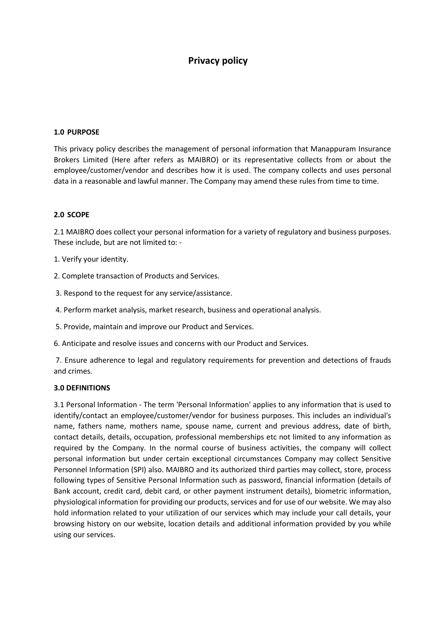# Privacy policy

#### 1.0 PURPOSE

This privacy policy describes the management of personal information that Manappuram Insurance Brokers Limited (Here after refers as MAIBRO) or its representative collects from or about the employee/customer/vendor and describes how it is used. The company collects and uses personal data in a reasonable and lawful manner. The Company may amend these rules from time to time.

#### 2.0 SCOPE

2.1 MAIBRO does collect your personal information for a variety of regulatory and business purposes. These include, but are not limited to: -

1. Verify your identity.

2. Complete transaction of Products and Services.

3. Respond to the request for any service/assistance.

4. Perform market analysis, market research, business and operational analysis.

5. Provide, maintain and improve our Product and Services.

6. Anticipate and resolve issues and concerns with our Product and Services.

 7. Ensure adherence to legal and regulatory requirements for prevention and detections of frauds and crimes.

#### 3.0 DEFINITIONS

3.1 Personal Information - The term 'Personal Information' applies to any information that is used to identify/contact an employee/customer/vendor for business purposes. This includes an individual's name, fathers name, mothers name, spouse name, current and previous address, date of birth, contact details, details, occupation, professional memberships etc not limited to any information as required by the Company. In the normal course of business activities, the company will collect personal information but under certain exceptional circumstances Company may collect Sensitive Personnel Information (SPI) also. MAIBRO and its authorized third parties may collect, store, process following types of Sensitive Personal Information such as password, financial information (details of Bank account, credit card, debit card, or other payment instrument details), biometric information, physiological information for providing our products, services and for use of our website. We may also hold information related to your utilization of our services which may include your call details, your browsing history on our website, location details and additional information provided by you while using our services.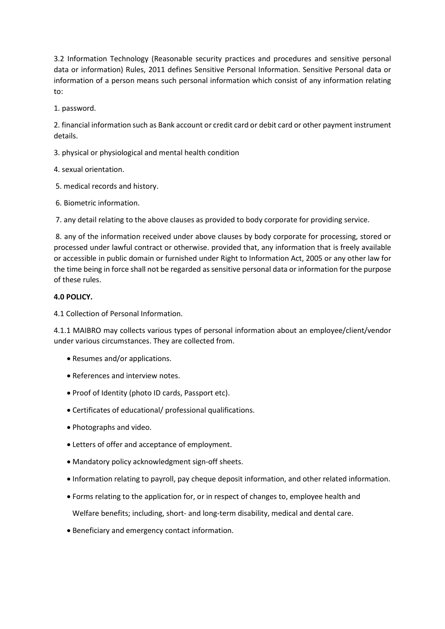3.2 Information Technology (Reasonable security practices and procedures and sensitive personal data or information) Rules, 2011 defines Sensitive Personal Information. Sensitive Personal data or information of a person means such personal information which consist of any information relating to:

1. password.

2. financial information such as Bank account or credit card or debit card or other payment instrument details.

3. physical or physiological and mental health condition

4. sexual orientation.

- 5. medical records and history.
- 6. Biometric information.

7. any detail relating to the above clauses as provided to body corporate for providing service.

 8. any of the information received under above clauses by body corporate for processing, stored or processed under lawful contract or otherwise. provided that, any information that is freely available or accessible in public domain or furnished under Right to Information Act, 2005 or any other law for the time being in force shall not be regarded as sensitive personal data or information for the purpose of these rules.

## 4.0 POLICY.

4.1 Collection of Personal Information.

4.1.1 MAIBRO may collects various types of personal information about an employee/client/vendor under various circumstances. They are collected from.

- Resumes and/or applications.
- References and interview notes.
- Proof of Identity (photo ID cards, Passport etc).
- Certificates of educational/ professional qualifications.
- Photographs and video.
- Letters of offer and acceptance of employment.
- Mandatory policy acknowledgment sign-off sheets.
- Information relating to payroll, pay cheque deposit information, and other related information.
- Forms relating to the application for, or in respect of changes to, employee health and

Welfare benefits; including, short- and long-term disability, medical and dental care.

Beneficiary and emergency contact information.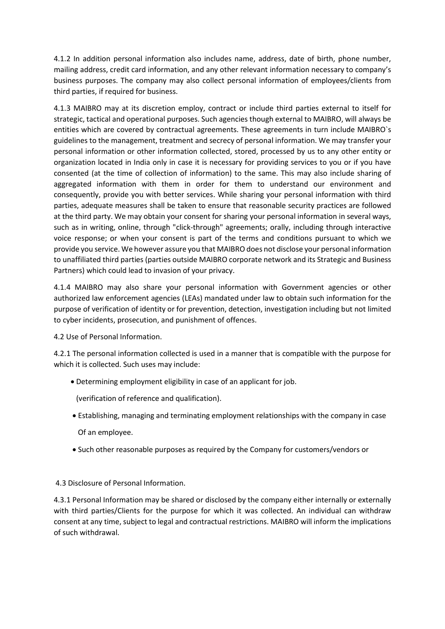4.1.2 In addition personal information also includes name, address, date of birth, phone number, mailing address, credit card information, and any other relevant information necessary to company's business purposes. The company may also collect personal information of employees/clients from third parties, if required for business.

4.1.3 MAIBRO may at its discretion employ, contract or include third parties external to itself for strategic, tactical and operational purposes. Such agencies though external to MAIBRO, will always be entities which are covered by contractual agreements. These agreements in turn include MAIBRO`s guidelines to the management, treatment and secrecy of personal information. We may transfer your personal information or other information collected, stored, processed by us to any other entity or organization located in India only in case it is necessary for providing services to you or if you have consented (at the time of collection of information) to the same. This may also include sharing of aggregated information with them in order for them to understand our environment and consequently, provide you with better services. While sharing your personal information with third parties, adequate measures shall be taken to ensure that reasonable security practices are followed at the third party. We may obtain your consent for sharing your personal information in several ways, such as in writing, online, through "click-through" agreements; orally, including through interactive voice response; or when your consent is part of the terms and conditions pursuant to which we provide you service. We however assure you that MAIBRO does not disclose your personal information to unaffiliated third parties (parties outside MAIBRO corporate network and its Strategic and Business Partners) which could lead to invasion of your privacy.

4.1.4 MAIBRO may also share your personal information with Government agencies or other authorized law enforcement agencies (LEAs) mandated under law to obtain such information for the purpose of verification of identity or for prevention, detection, investigation including but not limited to cyber incidents, prosecution, and punishment of offences.

4.2 Use of Personal Information.

4.2.1 The personal information collected is used in a manner that is compatible with the purpose for which it is collected. Such uses may include:

Determining employment eligibility in case of an applicant for job.

(verification of reference and qualification).

Establishing, managing and terminating employment relationships with the company in case

Of an employee.

Such other reasonable purposes as required by the Company for customers/vendors or

4.3 Disclosure of Personal Information.

4.3.1 Personal Information may be shared or disclosed by the company either internally or externally with third parties/Clients for the purpose for which it was collected. An individual can withdraw consent at any time, subject to legal and contractual restrictions. MAIBRO will inform the implications of such withdrawal.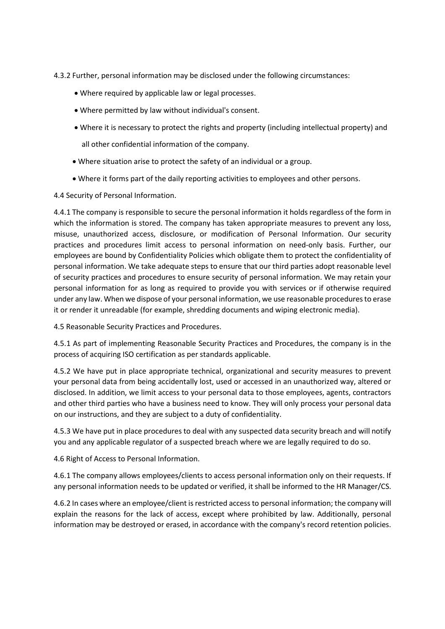- 4.3.2 Further, personal information may be disclosed under the following circumstances:
	- Where required by applicable law or legal processes.
	- Where permitted by law without individual's consent.
	- Where it is necessary to protect the rights and property (including intellectual property) and

all other confidential information of the company.

- Where situation arise to protect the safety of an individual or a group.
- Where it forms part of the daily reporting activities to employees and other persons.

4.4 Security of Personal Information.

4.4.1 The company is responsible to secure the personal information it holds regardless of the form in which the information is stored. The company has taken appropriate measures to prevent any loss, misuse, unauthorized access, disclosure, or modification of Personal Information. Our security practices and procedures limit access to personal information on need-only basis. Further, our employees are bound by Confidentiality Policies which obligate them to protect the confidentiality of personal information. We take adequate steps to ensure that our third parties adopt reasonable level of security practices and procedures to ensure security of personal information. We may retain your personal information for as long as required to provide you with services or if otherwise required under any law. When we dispose of your personal information, we use reasonable procedures to erase it or render it unreadable (for example, shredding documents and wiping electronic media).

4.5 Reasonable Security Practices and Procedures.

4.5.1 As part of implementing Reasonable Security Practices and Procedures, the company is in the process of acquiring ISO certification as per standards applicable.

4.5.2 We have put in place appropriate technical, organizational and security measures to prevent your personal data from being accidentally lost, used or accessed in an unauthorized way, altered or disclosed. In addition, we limit access to your personal data to those employees, agents, contractors and other third parties who have a business need to know. They will only process your personal data on our instructions, and they are subject to a duty of confidentiality.

4.5.3 We have put in place procedures to deal with any suspected data security breach and will notify you and any applicable regulator of a suspected breach where we are legally required to do so.

4.6 Right of Access to Personal Information.

4.6.1 The company allows employees/clients to access personal information only on their requests. If any personal information needs to be updated or verified, it shall be informed to the HR Manager/CS.

4.6.2 In cases where an employee/client is restricted access to personal information; the company will explain the reasons for the lack of access, except where prohibited by law. Additionally, personal information may be destroyed or erased, in accordance with the company's record retention policies.